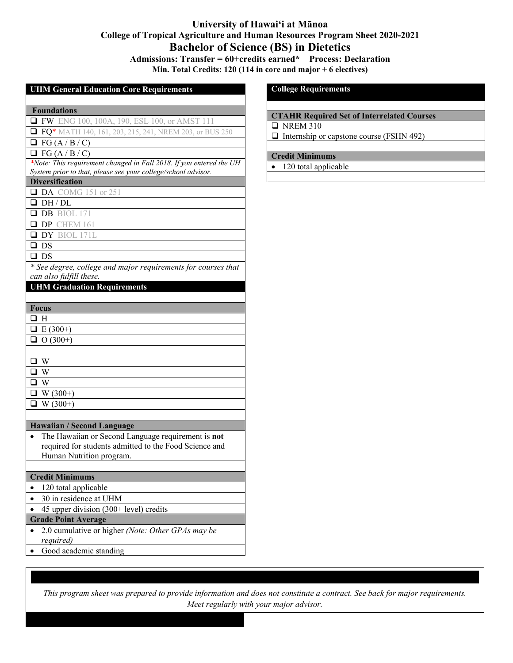# **University of Hawai'i at Mānoa College of Tropical Agriculture and Human Resources Program Sheet 2020-2021 Bachelor of Science (BS) in Dietetics Admissions: Transfer = 60+credits earned\* Process: Declaration**

**Min. Total Credits: 120 (114 in core and major + 6 electives)**

#### **UHM General Education Core Requirements**

### **Foundations**

**FW** ENG 100, 100A, 190, ESL 100, or AMST 111

**FQ\*** MATH 140, 161, 203, 215, 241, NREM 203, or BUS 250

 $\Box$  FG (A / B / C)

 $\Box$  FG (A / B / C)

*\*Note: This requirement changed in Fall 2018. If you entered the UH System prior to that, please see your college/school advisor.*

## **Diversification**

**DA** COMG 151 or 251

DH / DL

**DB** BIOL 171

**DP** CHEM 161

DY BIOL 171L

 $\square$  DS

 $\square$  DS

*\* See degree, college and major requirements for courses that can also fulfill these.*

## **UHM Graduation Requirements**

| <b>Focus</b>    |
|-----------------|
| $\square$ H     |
| $E(300+)$       |
| $\Box$ O (300+) |
|                 |
| $\Box$ W        |
| $\Box$ W        |
| $\Box$ W        |
| $\Box$ W (300+) |
| $\Box$ W (300+) |
|                 |

#### **Hawaiian / Second Language**

• The Hawaiian or Second Language requirement is **not** required for students admitted to the Food Science and Human Nutrition program.

#### **Credit Minimums**

- 120 total applicable
- 30 in residence at UHM
- 45 upper division  $(300+level)$  credits
- **Grade Point Average**
- 2.0 cumulative or higher *(Note: Other GPAs may be required)*
- Good academic standing

#### **College Requirements**

## **CTAHR Required Set of Interrelated Courses**

 $\Box$  NREM 310

 $\Box$  Internship or capstone course (FSHN 492)

## **Credit Minimums**

• 120 total applicable

*This program sheet was prepared to provide information and does not constitute a contract. See back for major requirements. Meet regularly with your major advisor.*